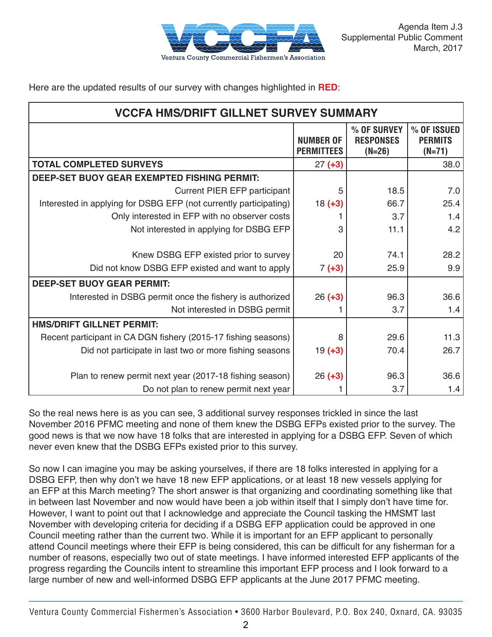

Here are the updated results of our survey with changes highlighted in **RED**:

| <b>VCCFA HMS/DRIFT GILLNET SURVEY SUMMARY</b>                     |                                       |                                             |                                           |
|-------------------------------------------------------------------|---------------------------------------|---------------------------------------------|-------------------------------------------|
|                                                                   | <b>NUMBER OF</b><br><b>PERMITTEES</b> | % OF SURVEY<br><b>RESPONSES</b><br>$(N=26)$ | % OF ISSUED<br><b>PERMITS</b><br>$(N=71)$ |
| <b>TOTAL COMPLETED SURVEYS</b>                                    | $27 (+3)$                             |                                             | 38.0                                      |
| DEEP-SET BUOY GEAR EXEMPTED FISHING PERMIT:                       |                                       |                                             |                                           |
| <b>Current PIER EFP participant</b>                               | 5                                     | 18.5                                        | 7.0                                       |
| Interested in applying for DSBG EFP (not currently participating) | $18 (+3)$                             | 66.7                                        | 25.4                                      |
| Only interested in EFP with no observer costs                     |                                       | 3.7                                         | 1.4                                       |
| Not interested in applying for DSBG EFP                           | 3                                     | 11.1                                        | 4.2                                       |
|                                                                   |                                       |                                             |                                           |
| Knew DSBG EFP existed prior to survey                             | 20                                    | 74.1                                        | 28.2                                      |
| Did not know DSBG EFP existed and want to apply                   | $7 (+3)$                              | 25.9                                        | 9.9                                       |
| <b>DEEP-SET BUOY GEAR PERMIT:</b>                                 |                                       |                                             |                                           |
| Interested in DSBG permit once the fishery is authorized          | $26 (+3)$                             | 96.3                                        | 36.6                                      |
| Not interested in DSBG permit                                     |                                       | 3.7                                         | 1.4                                       |
| <b>HMS/DRIFT GILLNET PERMIT:</b>                                  |                                       |                                             |                                           |
| Recent participant in CA DGN fishery (2015-17 fishing seasons)    | 8                                     | 29.6                                        | 11.3                                      |
| Did not participate in last two or more fishing seasons           | $19(+3)$                              | 70.4                                        | 26.7                                      |
|                                                                   |                                       |                                             |                                           |
| Plan to renew permit next year (2017-18 fishing season)           | $26 (+3)$                             | 96.3                                        | 36.6                                      |
| Do not plan to renew permit next year                             |                                       | 3.7                                         | 1.4                                       |

So the real news here is as you can see, 3 additional survey responses trickled in since the last November 2016 PFMC meeting and none of them knew the DSBG EFPs existed prior to the survey. The good news is that we now have 18 folks that are interested in applying for a DSBG EFP. Seven of which never even knew that the DSBG EFPs existed prior to this survey.

So now I can imagine you may be asking yourselves, if there are 18 folks interested in applying for a DSBG EFP, then why don't we have 18 new EFP applications, or at least 18 new vessels applying for an EFP at this March meeting? The short answer is that organizing and coordinating something like that in between last November and now would have been a job within itself that I simply don't have time for. However, I want to point out that I acknowledge and appreciate the Council tasking the HMSMT last November with developing criteria for deciding if a DSBG EFP application could be approved in one Council meeting rather than the current two. While it is important for an EFP applicant to personally attend Council meetings where their EFP is being considered, this can be difficult for any fisherman for a number of reasons, especially two out of state meetings. I have informed interested EFP applicants of the progress regarding the Councils intent to streamline this important EFP process and I look forward to a large number of new and well-informed DSBG EFP applicants at the June 2017 PFMC meeting.